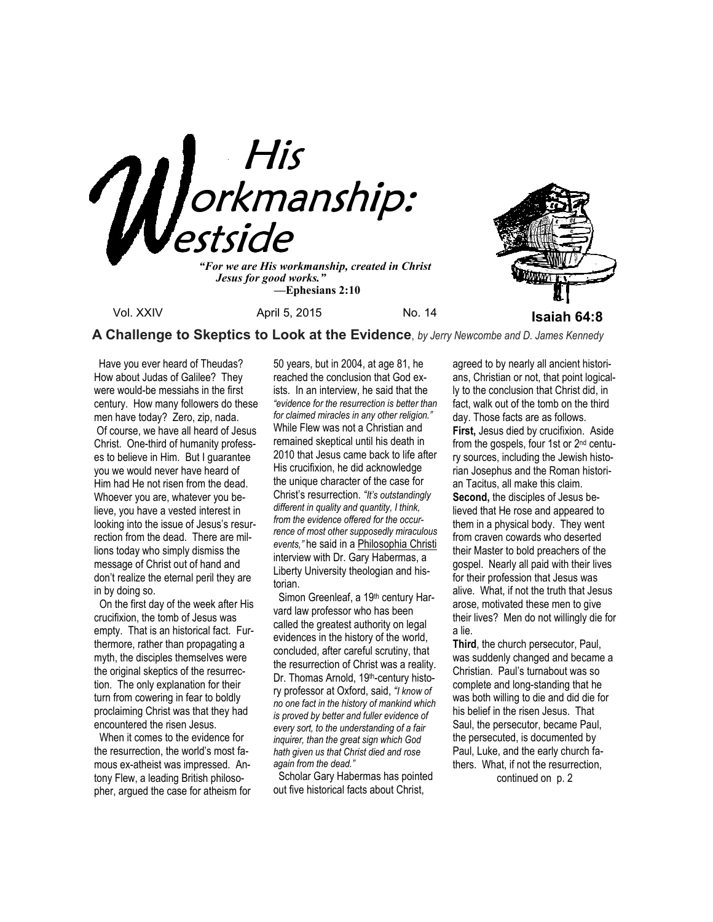

 *Jesus for good works." —***Ephesians 2:10**



 **A Challenge to Skeptics to Look at the Evidence**, *by Jerry Newcombe and D. James Kennedy*

Have you ever heard of Theudas? How about Judas of Galilee? They were would-be messiahs in the first century. How many followers do these men have today? Zero, zip, nada. Of course, we have all heard of Jesus Christ. One-third of humanity professes to believe in Him. But I guarantee you we would never have heard of Him had He not risen from the dead. Whoever you are, whatever you believe, you have a vested interest in looking into the issue of Jesus's resurrection from the dead. There are millions today who simply dismiss the message of Christ out of hand and don't realize the eternal peril they are in by doing so.

 On the first day of the week after His crucifixion, the tomb of Jesus was empty. That is an historical fact. Furthermore, rather than propagating a myth, the disciples themselves were the original skeptics of the resurrection. The only explanation for their turn from cowering in fear to boldly proclaiming Christ was that they had encountered the risen Jesus.

 When it comes to the evidence for the resurrection, the world's most famous ex-atheist was impressed. Antony Flew, a leading British philosopher, argued the case for atheism for 50 years, but in 2004, at age 81, he reached the conclusion that God exists. In an interview, he said that the *"evidence for the resurrection is better than for claimed miracles in any other religion."*  While Flew was not a Christian and remained skeptical until his death in 2010 that Jesus came back to life after His crucifixion, he did acknowledge the unique character of the case for Christ's resurrection. *"It's outstandingly different in quality and quantity, I think, from the evidence offered for the occurrence of most other supposedly miraculous events,"* he said in a Philosophia Christi interview with Dr. Gary Habermas, a Liberty University theologian and historian.

Simon Greenleaf, a 19th century Harvard law professor who has been called the greatest authority on legal evidences in the history of the world, concluded, after careful scrutiny, that the resurrection of Christ was a reality. Dr. Thomas Arnold, 19<sup>th</sup>-century history professor at Oxford, said, *"I know of no one fact in the history of mankind which is proved by better and fuller evidence of every sort, to the understanding of a fair inquirer, than the great sign which God hath given us that Christ died and rose again from the dead."* 

 Scholar Gary Habermas has pointed out five historical facts about Christ,

agreed to by nearly all ancient historians, Christian or not, that point logically to the conclusion that Christ did, in fact, walk out of the tomb on the third day. Those facts are as follows. **First,** Jesus died by crucifixion. Aside from the gospels, four 1st or 2nd century sources, including the Jewish historian Josephus and the Roman historian Tacitus, all make this claim. **Second,** the disciples of Jesus believed that He rose and appeared to them in a physical body. They went from craven cowards who deserted their Master to bold preachers of the gospel. Nearly all paid with their lives for their profession that Jesus was alive. What, if not the truth that Jesus arose, motivated these men to give their lives? Men do not willingly die for a lie.

**Third**, the church persecutor, Paul, was suddenly changed and became a Christian. Paul's turnabout was so complete and long-standing that he was both willing to die and did die for his belief in the risen Jesus. That Saul, the persecutor, became Paul, the persecuted, is documented by Paul, Luke, and the early church fathers. What, if not the resurrection,

continued on p. 2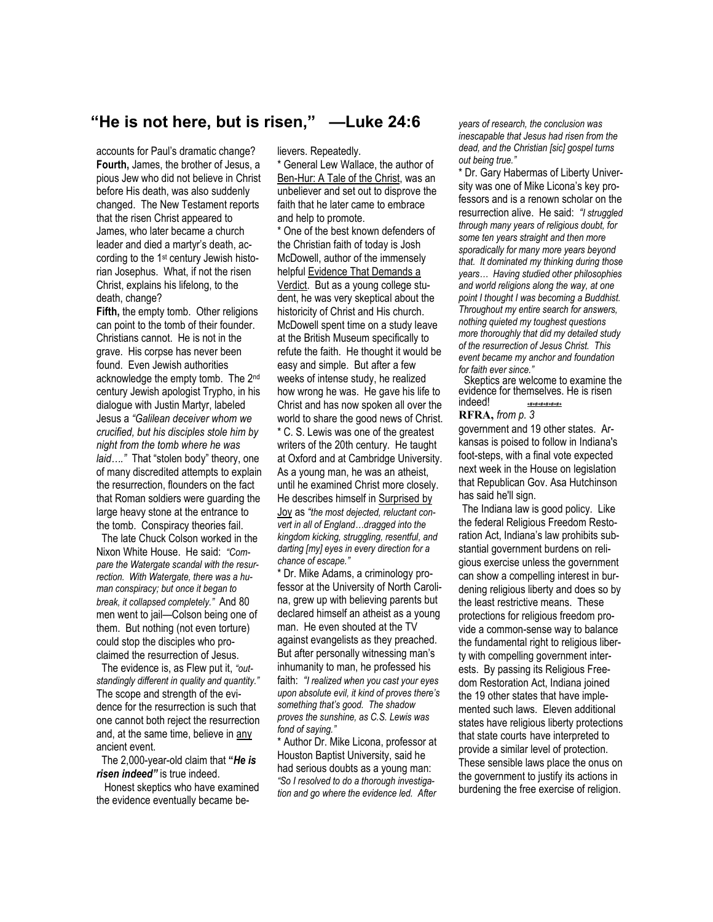### **"He is not here, but is risen," —Luke 24:6**

accounts for Paul's dramatic change? **Fourth,** James, the brother of Jesus, a pious Jew who did not believe in Christ before His death, was also suddenly changed. The New Testament reports that the risen Christ appeared to James, who later became a church leader and died a martyr's death, according to the 1st century Jewish historian Josephus. What, if not the risen Christ, explains his lifelong, to the death, change?

**Fifth,** the empty tomb. Other religions can point to the tomb of their founder. Christians cannot. He is not in the grave. His corpse has never been found. Even Jewish authorities acknowledge the empty tomb. The 2nd century Jewish apologist Trypho, in his dialogue with Justin Martyr, labeled Jesus a *"Galilean deceiver whom we crucified, but his disciples stole him by night from the tomb where he was laid…."* That "stolen body" theory, one of many discredited attempts to explain the resurrection, flounders on the fact that Roman soldiers were guarding the large heavy stone at the entrance to the tomb. Conspiracy theories fail.

 The late Chuck Colson worked in the Nixon White House. He said: *"Compare the Watergate scandal with the resurrection. With Watergate, there was a human conspiracy; but once it began to break, it collapsed completely."* And 80 men went to jail—Colson being one of them. But nothing (not even torture) could stop the disciples who proclaimed the resurrection of Jesus.

 The evidence is, as Flew put it, *"outstandingly different in quality and quantity."* The scope and strength of the evidence for the resurrection is such that one cannot both reject the resurrection and, at the same time, believe in any ancient event.

 The 2,000-year-old claim that **"***He is risen indeed"* is true indeed.

 Honest skeptics who have examined the evidence eventually became believers. Repeatedly.

\* General Lew Wallace, the author of Ben-Hur: A Tale of the Christ, was an unbeliever and set out to disprove the faith that he later came to embrace and help to promote.

\* One of the best known defenders of the Christian faith of today is Josh McDowell, author of the immensely helpful Evidence That Demands a Verdict. But as a young college student, he was very skeptical about the historicity of Christ and His church. McDowell spent time on a study leave at the British Museum specifically to refute the faith. He thought it would be easy and simple. But after a few weeks of intense study, he realized how wrong he was. He gave his life to Christ and has now spoken all over the world to share the good news of Christ. \* C. S. Lewis was one of the greatest writers of the 20th century. He taught at Oxford and at Cambridge University. As a young man, he was an atheist, until he examined Christ more closely. He describes himself in Surprised by Joy as *"the most dejected, reluctant convert in all of England…dragged into the kingdom kicking, struggling, resentful, and darting [my] eyes in every direction for a chance of escape."* 

\* Dr. Mike Adams, a criminology professor at the University of North Carolina, grew up with believing parents but declared himself an atheist as a young man. He even shouted at the TV against evangelists as they preached. But after personally witnessing man's inhumanity to man, he professed his faith: *"I realized when you cast your eyes upon absolute evil, it kind of proves there's something that's good. The shadow proves the sunshine, as C.S. Lewis was fond of saying."* 

\* Author Dr. Mike Licona, professor at Houston Baptist University, said he had serious doubts as a young man: *"So I resolved to do a thorough investigation and go where the evidence led. After* 

*years of research, the conclusion was inescapable that Jesus had risen from the dead, and the Christian [sic] gospel turns out being true."* 

\* Dr. Gary Habermas of Liberty University was one of Mike Licona's key professors and is a renown scholar on the resurrection alive. He said: *"I struggled through many years of religious doubt, for some ten years straight and then more sporadically for many more years beyond that. It dominated my thinking during those years… Having studied other philosophies and world religions along the way, at one point I thought I was becoming a Buddhist. Throughout my entire search for answers, nothing quieted my toughest questions more thoroughly that did my detailed study of the resurrection of Jesus Christ. This event became my anchor and foundation for faith ever since."* 

 Skeptics are welcome to examine the evidence for themselves. He is risen indeed! *+#+#+#+#+#+#+* 

#### **RFRA,** *from p. 3*

government and 19 other states. Arkansas is poised to follow in Indiana's foot-steps, with a final vote expected next week in the House on legislation that Republican Gov. Asa Hutchinson has said he'll sign.

The Indiana law is good policy. Like the federal Religious Freedom Restoration Act, Indiana's law prohibits substantial government burdens on religious exercise unless the government can show a compelling interest in burdening religious liberty and does so by the least restrictive means. These protections for religious freedom provide a common-sense way to balance the fundamental right to religious liberty with compelling government interests. By passing its Religious Freedom Restoration Act, Indiana joined the 19 other states that have implemented such laws. Eleven additional states have religious liberty protections that state courts have interpreted to provide a similar level of protection. These sensible laws place the onus on the government to justify its actions in burdening the free exercise of religion.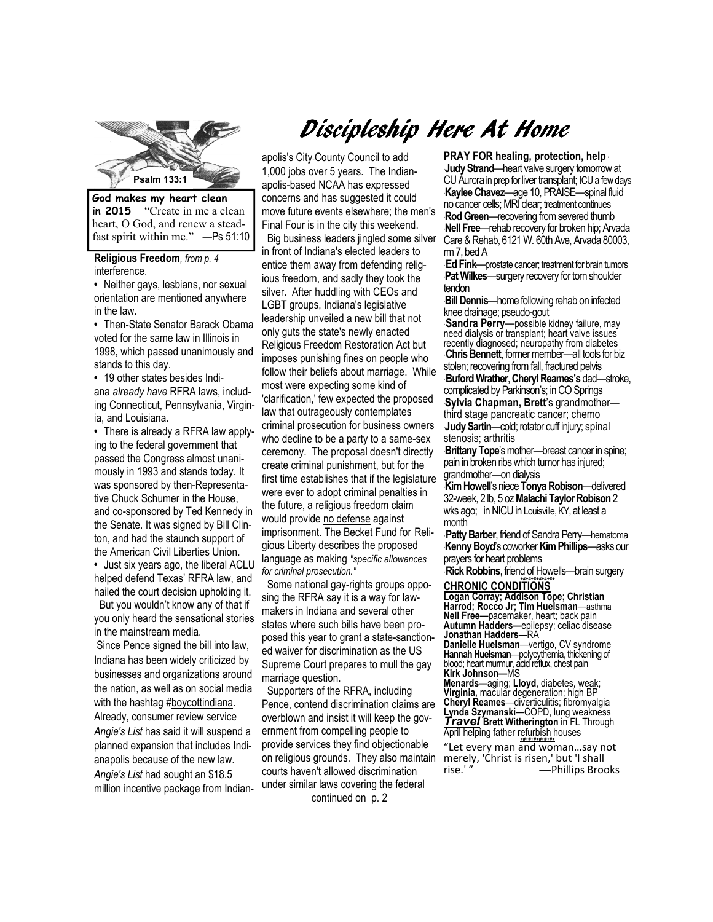

**in 2015** "Create in me a clean heart, O God, and renew a steadfast spirit within me." —Ps 51:10

**Religious Freedom***, from p. 4*  interference.

**•** Neither gays, lesbians, nor sexual orientation are mentioned anywhere in the law.

**•** Then-State Senator Barack Obama voted for the same law in Illinois in 1998, which passed unanimously and stands to this day.

**•** 19 other states besides Indiana *already have* RFRA laws, including Connecticut, Pennsylvania, Virginia, and Louisiana.

**•** There is already a RFRA law applying to the federal government that passed the Congress almost unanimously in 1993 and stands today. It was sponsored by then-Representative Chuck Schumer in the House, and co-sponsored by Ted Kennedy in the Senate. It was signed by Bill Clinton, and had the staunch support of the American Civil Liberties Union.

**•** Just six years ago, the liberal ACLU helped defend Texas' RFRA law, and hailed the court decision upholding it.

 But you wouldn't know any of that if you only heard the sensational stories in the mainstream media.

 Since Pence signed the bill into law, Indiana has been widely criticized by businesses and organizations around the nation, as well as on social media with the hashtag #boycottindiana. Already, consumer review service *Angie's List* has said it will suspend a planned expansion that includes Indianapolis because of the new law. *Angie's List* had sought an \$18.5 million incentive package from Indian-

# Discipleship Here At Home

apolis's City-County Council to add 1,000 jobs over 5 years. The Indianapolis-based NCAA has expressed concerns and has suggested it could move future events elsewhere; the men's Final Four is in the city this weekend. Big business leaders jingled some silver in front of Indiana's elected leaders to entice them away from defending religious freedom, and sadly they took the silver. After huddling with CEOs and LGBT groups, Indiana's legislative leadership unveiled a new bill that not only guts the state's newly enacted Religious Freedom Restoration Act but imposes punishing fines on people who follow their beliefs about marriage. While most were expecting some kind of 'clarification,' few expected the proposed law that outrageously contemplates criminal prosecution for business owners who decline to be a party to a same-sex ceremony. The proposal doesn't directly create criminal punishment, but for the first time establishes that if the legislature were ever to adopt criminal penalties in the future, a religious freedom claim would provide no defense against imprisonment. The Becket Fund for Religious Liberty describes the proposed language as making *"specific allowances for criminal prosecution."*

 Some national gay-rights groups opposing the RFRA say it is a way for lawmakers in Indiana and several other states where such bills have been proposed this year to grant a state-sanctioned waiver for discrimination as the US Supreme Court prepares to mull the gay marriage question.

 Supporters of the RFRA, including Pence, contend discrimination claims are overblown and insist it will keep the government from compelling people to provide services they find objectionable on religious grounds. They also maintain courts haven't allowed discrimination under similar laws covering the federal continued on p. 2

**Psalm 133:1**  rm 7, bed A **PRAY FOR healing, protection, help** \* \***Judy Strand**—heart valve surgery tomorrow at CU Aurora in prep for liver transplant; ICU a few days \***Kaylee Chavez**—age 10, PRAISE—spinal fluid no cancer cells; MRI clear; treatment continues **Rod Green**—recovering from severed thumb \***Nell Free**—rehab recovery for broken hip; Arvada Care & Rehab, 6121 W. 60th Ave, Arvada 80003,

\* **Ed Fink**—prostate cancer; treatment for brain tumors **Pat Wilkes**—surgery recovery for torn shoulder tendon

\***Bill Dennis**—home following rehab on infected knee drainage; pseudo-gout

**Sandra Perry**—possible kidney failure, may need dialysis or transplant; heart valve issues recently diagnosed; neuropathy from diabetes \* **Chris Bennett**, former member—all tools for biz stolen; recovering from fall, fractured pelvis \* **Buford Wrather**, **Cheryl Reames's** dad—stroke, complicated by Parkinson's; in CO Springs \***Sylvia Chapman, Brett**'s grandmother third stage pancreatic cancer; chemo \***Judy Sartin**—cold; rotator cuff injury; spinal

stenosis; arthritis \***Brittany Tope**'s mother—breast cancer in spine; pain in broken ribs which tumor has injured; grandmother—on dialysis

\***Kim Howell**'s niece **Tonya Robison**—delivered 32-week, 2 lb, 5 oz **Malachi Taylor Robison** 2 wks ago; in NICU in Louisville, KY, at least a month

\* **Patty Barber**, friend of Sandra Perry—hematoma \***Kenny Boyd**'s coworker **Kim Phillips**—asks our prayers for heart problems

\* **Rick Robbins**, friend of Howells—brain surgery

## *+#+#+#+#+#+#+*  **CHRONIC CONDITIONS**

**Logan Corray; Addison Tope; Christian Harrod; Rocco Jr; Tim Huelsman**—asthma **Nell Free—**pacemaker, heart; back pain **Autumn Hadders—**epilepsy; celiac disease **Jonathan Hadders**—RA **Danielle Huelsman**—vertigo, CV syndrome **Hannah Huelsman**—polycythemia, thickening of

blood; heart murmur, acid reflux, chest pain **Kirk Johnson—**MS

**Menards—**aging; **Lloyd**, diabetes, weak; **Virginia,** macular degeneration; high BP **Cheryl Reames**—diverticulitis; fibromyalgia **Lynda Szymanski**—COPD, lung weakness *Travel* **Brett Witherington** in FL Through April helping father refurbish houses

*+#+#+#+#+#+#+*  "Let every man and woman…say not merely, 'Christ is risen,' but 'I shall rise.' " **—**Phillips Brooks